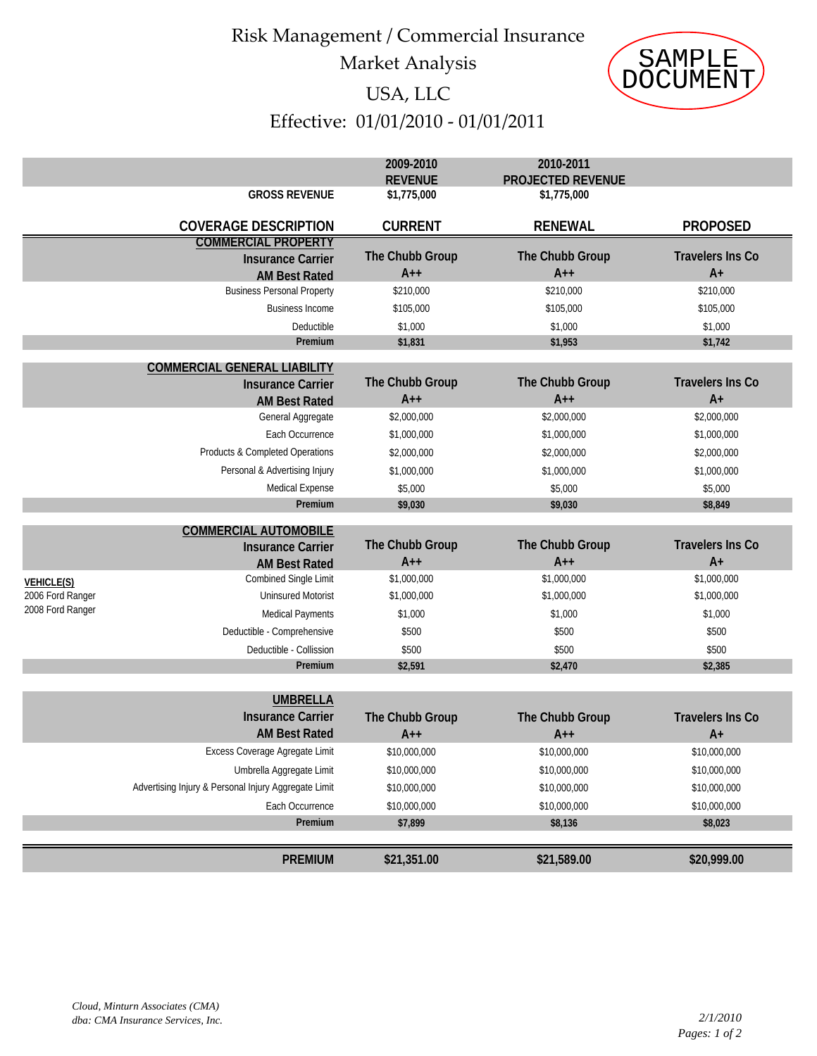## Risk Management / Commercial Insurance Market Analysis



### USA, LLC

# Effective: 01/01/2010 ‐ 01/01/2011

|                                      |                                                                                | Market Analysis               |                                         | <b>SAMPLE</b>                   |  |  |
|--------------------------------------|--------------------------------------------------------------------------------|-------------------------------|-----------------------------------------|---------------------------------|--|--|
|                                      |                                                                                | USA, LLC                      |                                         | DOCUMENT                        |  |  |
|                                      |                                                                                |                               |                                         |                                 |  |  |
| Effective: 01/01/2010 - 01/01/2011   |                                                                                |                               |                                         |                                 |  |  |
|                                      |                                                                                | 2009-2010                     | 2010-2011                               |                                 |  |  |
|                                      | <b>GROSS REVENUE</b>                                                           | <b>REVENUE</b><br>\$1,775,000 | <b>PROJECTED REVENUE</b><br>\$1,775,000 |                                 |  |  |
|                                      |                                                                                |                               |                                         |                                 |  |  |
|                                      | <b>COVERAGE DESCRIPTION</b>                                                    | <b>CURRENT</b>                | <b>RENEWAL</b>                          | <b>PROPOSED</b>                 |  |  |
|                                      | <b>COMMERCIAL PROPERTY</b><br><b>Insurance Carrier</b><br><b>AM Best Rated</b> | The Chubb Group<br>$A++$      | The Chubb Group<br>$A++$                | <b>Travelers Ins Co</b><br>$A+$ |  |  |
|                                      | <b>Business Personal Property</b>                                              | \$210,000                     | \$210,000                               | \$210,000                       |  |  |
|                                      | <b>Business Income</b>                                                         | \$105,000                     | \$105,000                               | \$105,000                       |  |  |
|                                      | Deductible                                                                     | \$1,000                       | \$1,000                                 | \$1,000                         |  |  |
|                                      | Premium                                                                        | \$1,831                       | \$1,953                                 | \$1,742                         |  |  |
|                                      | <b>COMMERCIAL GENERAL LIABILITY</b>                                            |                               |                                         |                                 |  |  |
|                                      | <b>Insurance Carrier</b>                                                       | The Chubb Group               | The Chubb Group                         | <b>Travelers Ins Co</b>         |  |  |
|                                      | <b>AM Best Rated</b>                                                           | $A++$                         | $A++$                                   | $A+$                            |  |  |
|                                      | General Aggregate                                                              | \$2,000,000                   | \$2,000,000                             | \$2,000,000                     |  |  |
|                                      | Each Occurrence                                                                | \$1,000,000                   | \$1,000,000                             | \$1,000,000                     |  |  |
|                                      | Products & Completed Operations                                                | \$2,000,000                   | \$2,000,000                             | \$2,000,000                     |  |  |
|                                      | Personal & Advertising Injury<br>Medical Expense                               | \$1,000,000<br>\$5,000        | \$1,000,000<br>\$5,000                  | \$1,000,000<br>\$5,000          |  |  |
|                                      | Premium                                                                        | \$9,030                       | \$9,030                                 | \$8,849                         |  |  |
|                                      |                                                                                |                               |                                         |                                 |  |  |
|                                      | <b>COMMERCIAL AUTOMOBILE</b><br><b>Insurance Carrier</b>                       | The Chubb Group               | The Chubb Group                         | <b>Travelers Ins Co</b>         |  |  |
|                                      | <b>AM Best Rated</b>                                                           | $A++$                         | $A++$                                   | $A+$                            |  |  |
| <b>VEHICLE(S)</b>                    | <b>Combined Single Limit</b><br><b>Uninsured Motorist</b>                      | \$1,000,000<br>\$1,000,000    | \$1,000,000                             | \$1,000,000<br>\$1,000,000      |  |  |
| 2006 Ford Ranger<br>2008 Ford Ranger |                                                                                | \$1,000                       | \$1,000,000<br>\$1,000                  | \$1,000                         |  |  |
|                                      | <b>Medical Payments</b><br>Deductible - Comprehensive                          | \$500                         | \$500                                   | \$500                           |  |  |
|                                      | Deductible - Collission                                                        | \$500                         | \$500                                   | \$500                           |  |  |
|                                      | Premium                                                                        | \$2,591                       | \$2,470                                 | \$2,385                         |  |  |
|                                      |                                                                                |                               |                                         |                                 |  |  |
|                                      | <b>UMBRELLA</b>                                                                |                               |                                         |                                 |  |  |
|                                      | <b>Insurance Carrier</b><br><b>AM Best Rated</b>                               | The Chubb Group<br>$A++$      | The Chubb Group<br>$A++$                | <b>Travelers Ins Co</b><br>$A+$ |  |  |
|                                      | Excess Coverage Agregate Limit                                                 | \$10,000,000                  | \$10,000,000                            | \$10,000,000                    |  |  |
|                                      | Umbrella Aggregate Limit                                                       | \$10,000,000                  | \$10,000,000                            | \$10,000,000                    |  |  |
|                                      | Advertising Injury & Personal Injury Aggregate Limit                           | \$10,000,000                  | \$10,000,000                            | \$10,000,000                    |  |  |
|                                      | Each Occurrence                                                                | \$10,000,000                  | \$10,000,000                            | \$10,000,000                    |  |  |
|                                      | Premium                                                                        | \$7,899                       | \$8,136                                 | \$8,023                         |  |  |
|                                      |                                                                                |                               |                                         |                                 |  |  |
|                                      | <b>PREMIUM</b>                                                                 | \$21,351.00                   | \$21,589.00                             | \$20,999.00                     |  |  |
|                                      |                                                                                |                               |                                         |                                 |  |  |
|                                      | Cloud, Minturn Associates (CMA)<br>dba: CMA Insurance Services, Inc.           |                               |                                         | 2/1/2010<br>Pages: 1 of 2       |  |  |